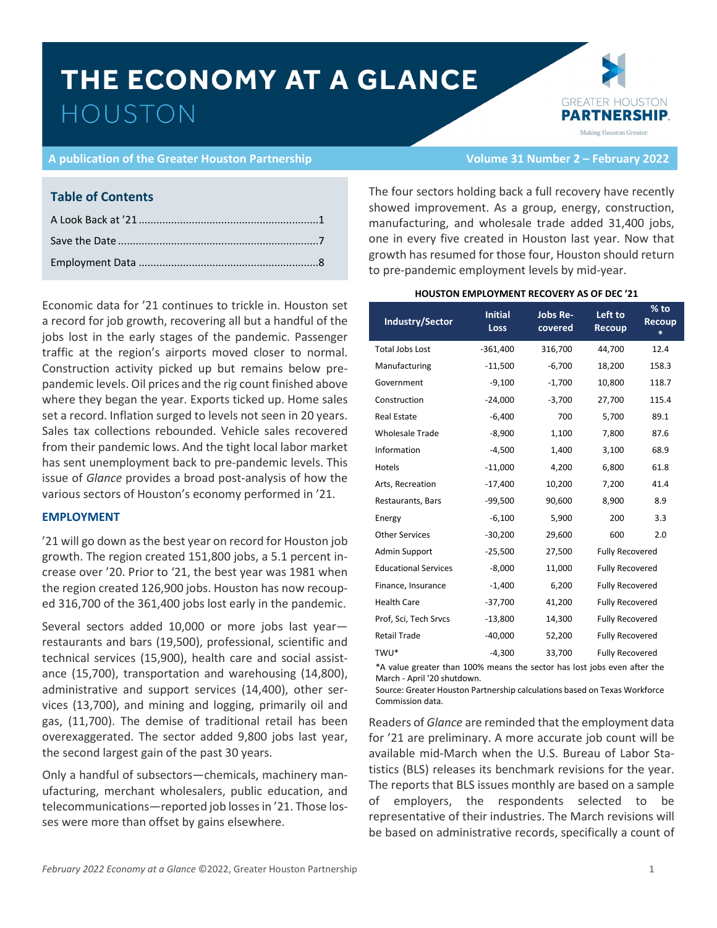# THE ECONOMY AT A GLANCE HOUSTON



**A publication of the Greater Houston Partnership Volume 31 Number 2 – February 2022**

# **Table of Contents**

Economic data for '21 continues to trickle in. Houston set a record for job growth, recovering all but a handful of the jobs lost in the early stages of the pandemic. Passenger traffic at the region's airports moved closer to normal. Construction activity picked up but remains below prepandemic levels. Oil prices and the rig count finished above where they began the year. Exports ticked up. Home sales set a record. Inflation surged to levels not seen in 20 years. Sales tax collections rebounded. Vehicle sales recovered from their pandemic lows. And the tight local labor market has sent unemployment back to pre-pandemic levels. This issue of *Glance* provides a broad post-analysis of how the various sectors of Houston's economy performed in '21.

# **EMPLOYMENT**

'21 will go down as the best year on record for Houston job growth. The region created 151,800 jobs, a 5.1 percent increase over '20. Prior to '21, the best year was 1981 when the region created 126,900 jobs. Houston has now recouped 316,700 of the 361,400 jobs lost early in the pandemic.

Several sectors added 10,000 or more jobs last year restaurants and bars (19,500), professional, scientific and technical services (15,900), health care and social assistance (15,700), transportation and warehousing (14,800), administrative and support services (14,400), other services (13,700), and mining and logging, primarily oil and gas, (11,700). The demise of traditional retail has been overexaggerated. The sector added 9,800 jobs last year, the second largest gain of the past 30 years.

Only a handful of subsectors—chemicals, machinery manufacturing, merchant wholesalers, public education, and telecommunications—reported job losses in '21. Those losses were more than offset by gains elsewhere.

The four sectors holding back a full recovery have recently showed improvement. As a group, energy, construction, manufacturing, and wholesale trade added 31,400 jobs, one in every five created in Houston last year. Now that growth has resumed for those four, Houston should return to pre-pandemic employment levels by mid-year.

#### **HOUSTON EMPLOYMENT RECOVERY AS OF DEC '21**

| <b>Industry/Sector</b>      | <b>Initial</b><br><b>Loss</b> | <b>Jobs Re-</b><br>covered | Left to<br><b>Recoup</b> | % to<br><b>Recoup</b><br>∗ |
|-----------------------------|-------------------------------|----------------------------|--------------------------|----------------------------|
| <b>Total Jobs Lost</b>      | $-361,400$                    | 316,700                    | 44,700                   | 12.4                       |
| Manufacturing               | $-11,500$                     | $-6,700$                   | 18,200                   | 158.3                      |
| Government                  | $-9,100$                      | $-1,700$                   | 10,800                   | 118.7                      |
| Construction                | $-24,000$                     | $-3,700$                   | 27,700                   | 115.4                      |
| <b>Real Estate</b>          | $-6,400$                      | 700                        | 5,700                    | 89.1                       |
| <b>Wholesale Trade</b>      | $-8,900$                      | 1,100                      | 7,800                    | 87.6                       |
| Information                 | $-4,500$                      | 1,400                      | 3,100                    | 68.9                       |
| Hotels                      | $-11,000$                     | 4,200                      | 6,800                    | 61.8                       |
| Arts, Recreation            | $-17,400$                     | 10,200                     | 7,200                    | 41.4                       |
| Restaurants, Bars           | $-99,500$                     | 90,600                     | 8,900                    | 8.9                        |
| Energy                      | $-6,100$                      | 5,900                      | 200                      | 3.3                        |
| <b>Other Services</b>       | $-30,200$                     | 29,600                     | 600                      | 2.0                        |
| Admin Support               | $-25,500$                     | 27,500                     | <b>Fully Recovered</b>   |                            |
| <b>Educational Services</b> | $-8,000$                      | 11,000                     | <b>Fully Recovered</b>   |                            |
| Finance, Insurance          | $-1,400$                      | 6,200                      | <b>Fully Recovered</b>   |                            |
| <b>Health Care</b>          | $-37,700$                     | 41,200                     | <b>Fully Recovered</b>   |                            |
| Prof, Sci, Tech Srvcs       | $-13,800$                     | 14,300                     | <b>Fully Recovered</b>   |                            |
| <b>Retail Trade</b>         | $-40,000$                     | 52,200                     | <b>Fully Recovered</b>   |                            |
| TWU*                        | $-4,300$                      | 33,700                     | <b>Fully Recovered</b>   |                            |
|                             |                               |                            |                          |                            |

\*A value greater than 100% means the sector has lost jobs even after the March - April '20 shutdown.

Source: Greater Houston Partnership calculations based on Texas Workforce Commission data.

Readers of *Glance* are reminded that the employment data for '21 are preliminary. A more accurate job count will be available mid-March when the U.S. Bureau of Labor Statistics (BLS) releases its benchmark revisions for the year. The reports that BLS issues monthly are based on a sample of employers, the respondents selected to be representative of their industries. The March revisions will be based on administrative records, specifically a count of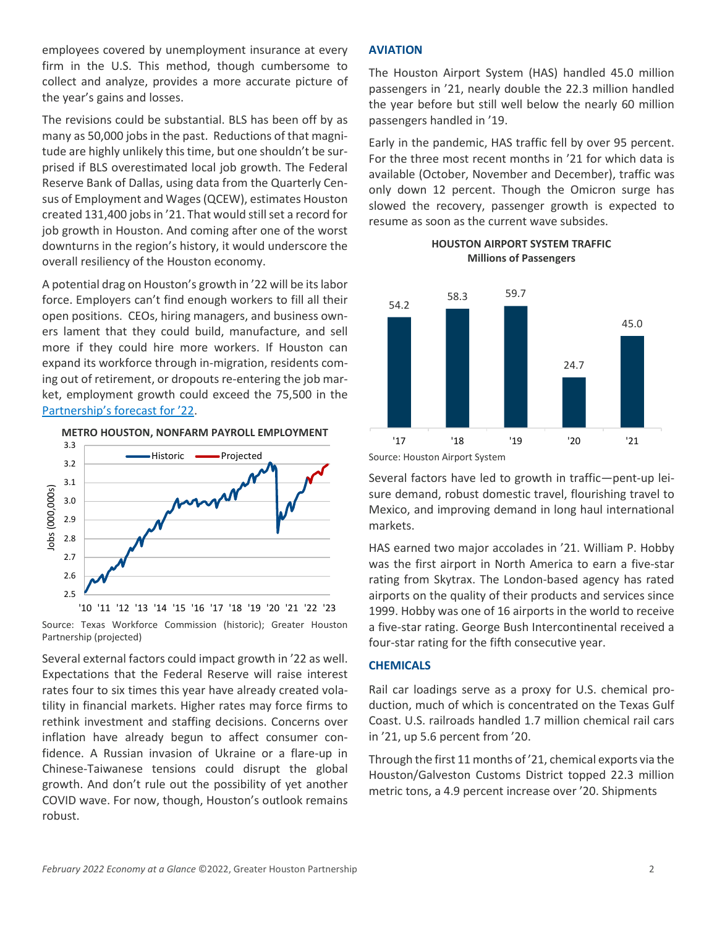employees covered by unemployment insurance at every firm in the U.S. This method, though cumbersome to collect and analyze, provides a more accurate picture of the year's gains and losses.

The revisions could be substantial. BLS has been off by as many as 50,000 jobs in the past. Reductions of that magnitude are highly unlikely this time, but one shouldn't be surprised if BLS overestimated local job growth. The Federal Reserve Bank of Dallas, using data from the Quarterly Census of Employment and Wages (QCEW), estimates Houston created 131,400 jobs in '21. That would still set a record for job growth in Houston. And coming after one of the worst downturns in the region's history, it would underscore the overall resiliency of the Houston economy.

A potential drag on Houston's growth in '22 will be its labor force. Employers can't find enough workers to fill all their open positions. CEOs, hiring managers, and business owners lament that they could build, manufacture, and sell more if they could hire more workers. If Houston can expand its workforce through in-migration, residents coming out of retirement, or dropouts re-entering the job market, employment growth could exceed the 75,500 in the [Partnership's forecast for](https://www.houston.org/sites/default/files/2021-12/Employment%20Forecast_2021_Final%20(3).pdf) '22.







Several external factors could impact growth in '22 as well. Expectations that the Federal Reserve will raise interest rates four to six times this year have already created volatility in financial markets. Higher rates may force firms to rethink investment and staffing decisions. Concerns over inflation have already begun to affect consumer confidence. A Russian invasion of Ukraine or a flare-up in Chinese-Taiwanese tensions could disrupt the global growth. And don't rule out the possibility of yet another COVID wave. For now, though, Houston's outlook remains robust.

# **AVIATION**

The Houston Airport System (HAS) handled 45.0 million passengers in '21, nearly double the 22.3 million handled the year before but still well below the nearly 60 million passengers handled in '19.

Early in the pandemic, HAS traffic fell by over 95 percent. For the three most recent months in '21 for which data is available (October, November and December), traffic was only down 12 percent. Though the Omicron surge has slowed the recovery, passenger growth is expected to resume as soon as the current wave subsides.





Several factors have led to growth in traffic—pent-up leisure demand, robust domestic travel, flourishing travel to Mexico, and improving demand in long haul international markets.

HAS earned two major accolades in '21. William P. Hobby was the first airport in North America to earn a five-star rating from Skytrax. The London-based agency has rated airports on the quality of their products and services since 1999. Hobby was one of 16 airports in the world to receive a five-star rating. George Bush Intercontinental received a four-star rating for the fifth consecutive year.

#### **CHEMICALS**

Rail car loadings serve as a proxy for U.S. chemical production, much of which is concentrated on the Texas Gulf Coast. U.S. railroads handled 1.7 million chemical rail cars in '21, up 5.6 percent from '20.

Through the first 11 months of '21, chemical exports via the Houston/Galveston Customs District topped 22.3 million metric tons, a 4.9 percent increase over '20. Shipments

Source: Houston Airport System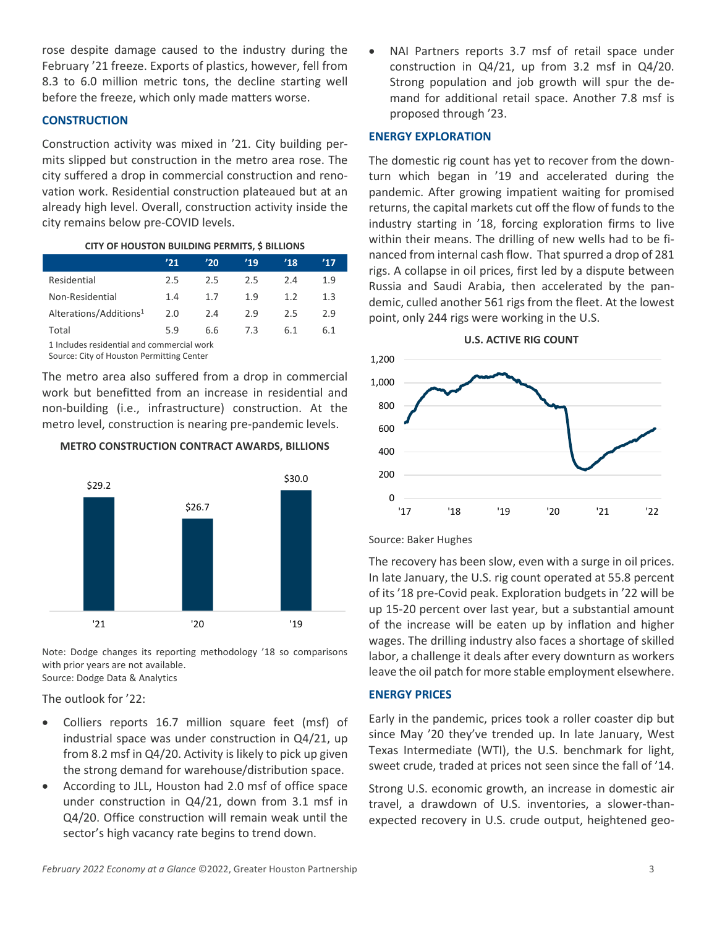rose despite damage caused to the industry during the February '21 freeze. Exports of plastics, however, fell from 8.3 to 6.0 million metric tons, the decline starting well before the freeze, which only made matters worse.

# **CONSTRUCTION**

Construction activity was mixed in '21. City building permits slipped but construction in the metro area rose. The city suffered a drop in commercial construction and renovation work. Residential construction plateaued but at an already high level. Overall, construction activity inside the city remains below pre-COVID levels.

# **CITY OF HOUSTON BUILDING PERMITS, \$ BILLIONS**

|                                            | '21 | '20 | '19 | '18 | '17 |  |
|--------------------------------------------|-----|-----|-----|-----|-----|--|
| Residential                                | 2.5 | 2.5 | 2.5 | 2.4 | 1.9 |  |
| Non-Residential                            | 1.4 | 1.7 | 1.9 | 1.2 | 1.3 |  |
| Alterations/Additions <sup>1</sup>         | 2.0 | 2.4 | 2.9 | 2.5 | 2.9 |  |
| Total                                      | 5.9 | 6.6 | 7.3 | 6.1 | 6.1 |  |
| 1 Includes residential and commercial work |     |     |     |     |     |  |

Source: City of Houston Permitting Center

The metro area also suffered from a drop in commercial work but benefitted from an increase in residential and non-building (i.e., infrastructure) construction. At the metro level, construction is nearing pre-pandemic levels.



## **METRO CONSTRUCTION CONTRACT AWARDS, BILLIONS**

Note: Dodge changes its reporting methodology '18 so comparisons with prior years are not available. Source: Dodge Data & Analytics

The outlook for '22:

- Colliers reports 16.7 million square feet (msf) of industrial space was under construction in Q4/21, up from 8.2 msf in Q4/20. Activity is likely to pick up given the strong demand for warehouse/distribution space.
- According to JLL, Houston had 2.0 msf of office space under construction in Q4/21, down from 3.1 msf in Q4/20. Office construction will remain weak until the sector's high vacancy rate begins to trend down.

NAI Partners reports 3.7 msf of retail space under construction in Q4/21, up from 3.2 msf in Q4/20. Strong population and job growth will spur the demand for additional retail space. Another 7.8 msf is proposed through '23.

# **ENERGY EXPLORATION**

The domestic rig count has yet to recover from the downturn which began in '19 and accelerated during the pandemic. After growing impatient waiting for promised returns, the capital markets cut off the flow of funds to the industry starting in '18, forcing exploration firms to live within their means. The drilling of new wells had to be financed from internal cash flow. That spurred a drop of 281 rigs. A collapse in oil prices, first led by a dispute between Russia and Saudi Arabia, then accelerated by the pandemic, culled another 561 rigs from the fleet. At the lowest point, only 244 rigs were working in the U.S.



# **U.S. ACTIVE RIG COUNT**

Source: Baker Hughes

The recovery has been slow, even with a surge in oil prices. In late January, the U.S. rig count operated at 55.8 percent of its '18 pre-Covid peak. Exploration budgets in '22 will be up 15-20 percent over last year, but a substantial amount of the increase will be eaten up by inflation and higher wages. The drilling industry also faces a shortage of skilled labor, a challenge it deals after every downturn as workers leave the oil patch for more stable employment elsewhere.

# **ENERGY PRICES**

Early in the pandemic, prices took a roller coaster dip but since May '20 they've trended up. In late January, West Texas Intermediate (WTI), the U.S. benchmark for light, sweet crude, traded at prices not seen since the fall of '14.

Strong U.S. economic growth, an increase in domestic air travel, a drawdown of U.S. inventories, a slower-thanexpected recovery in U.S. crude output, heightened geo-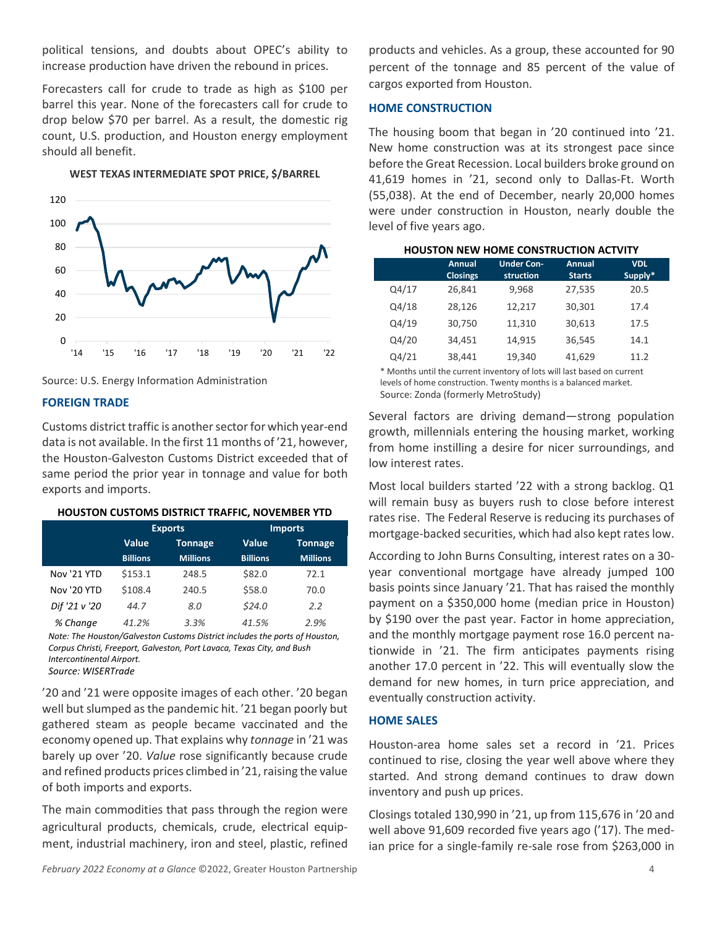political tensions, and doubts about OPEC's ability to increase production have driven the rebound in prices.

Forecasters call for crude to trade as high as \$100 per barrel this year. None of the forecasters call for crude to drop below \$70 per barrel. As a result, the domestic rig count, U.S. production, and Houston energy employment should all benefit.

**WEST TEXAS INTERMEDIATE SPOT PRICE, \$/BARREL**



Source: U.S. Energy Information Administration

#### **FOREIGN TRADE**

Customs district traffic is another sector for which year-end data is not available. In the first 11 months of '21, however, the Houston-Galveston Customs District exceeded that of same period the prior year in tonnage and value for both exports and imports.

#### **HOUSTON CUSTOMS DISTRICT TRAFFIC, NOVEMBER YTD**

|               | <b>Exports</b>  |                 |                 | <b>Imports</b>  |
|---------------|-----------------|-----------------|-----------------|-----------------|
|               | <b>Value</b>    | <b>Tonnage</b>  | <b>Value</b>    | <b>Tonnage</b>  |
|               | <b>Billions</b> | <b>Millions</b> | <b>Billions</b> | <b>Millions</b> |
| Nov '21 YTD   | \$153.1         | 248.5           | \$82.0          | 72.1            |
| Nov '20 YTD   | \$108.4         | 240.5           | \$58.0          | 70.0            |
| Dif '21 v '20 | 44.7            | 8.0             | \$24.0          | 2.2             |
| % Change      | 41.2%           | 3.3%            | 41.5%           | 2.9%            |

*Note: The Houston/Galveston Customs District includes the ports of Houston, Corpus Christi, Freeport, Galveston, Port Lavaca, Texas City, and Bush Intercontinental Airport. Source: WISERTrade*

'20 and '21 were opposite images of each other. '20 began well but slumped as the pandemic hit. '21 began poorly but gathered steam as people became vaccinated and the economy opened up. That explains why *tonnage* in '21 was barely up over '20. *Value* rose significantly because crude and refined products prices climbed in '21, raising the value of both imports and exports.

The main commodities that pass through the region were agricultural products, chemicals, crude, electrical equipment, industrial machinery, iron and steel, plastic, refined

*February 2022 Economy at a Glance* ©2022, Greater Houston Partnership 4

products and vehicles. As a group, these accounted for 90 percent of the tonnage and 85 percent of the value of cargos exported from Houston.

#### **HOME CONSTRUCTION**

The housing boom that began in '20 continued into '21. New home construction was at its strongest pace since before the Great Recession. Local builders broke ground on 41,619 homes in '21, second only to Dallas-Ft. Worth (55,038). At the end of December, nearly 20,000 homes were under construction in Houston, nearly double the level of five years ago.

#### **HOUSTON NEW HOME CONSTRUCTION ACTVITY**

|       | <b>Annual</b><br><b>Closings</b> | <b>Under Con-</b><br>struction | <b>Annual</b><br><b>Starts</b> | <b>VDL</b><br>Supply* |
|-------|----------------------------------|--------------------------------|--------------------------------|-----------------------|
| Q4/17 | 26,841                           | 9,968                          | 27,535                         | 20.5                  |
| Q4/18 | 28.126                           | 12,217                         | 30,301                         | 17.4                  |
| Q4/19 | 30,750                           | 11,310                         | 30,613                         | 17.5                  |
| Q4/20 | 34,451                           | 14.915                         | 36,545                         | 14.1                  |
| Q4/21 | 38.441                           | 19,340                         | 41,629                         | 11.2                  |

\* Months until the current inventory of lots will last based on current levels of home construction. Twenty months is a balanced market. Source: Zonda (formerly MetroStudy)

Several factors are driving demand—strong population growth, millennials entering the housing market, working from home instilling a desire for nicer surroundings, and low interest rates.

Most local builders started '22 with a strong backlog. Q1 will remain busy as buyers rush to close before interest rates rise. The Federal Reserve is reducing its purchases of mortgage-backed securities, which had also kept rates low.

According to John Burns Consulting, interest rates on a 30 year conventional mortgage have already jumped 100 basis points since January '21. That has raised the monthly payment on a \$350,000 home (median price in Houston) by \$190 over the past year. Factor in home appreciation, and the monthly mortgage payment rose 16.0 percent nationwide in '21. The firm anticipates payments rising another 17.0 percent in '22. This will eventually slow the demand for new homes, in turn price appreciation, and eventually construction activity.

# **HOME SALES**

Houston-area home sales set a record in '21. Prices continued to rise, closing the year well above where they started. And strong demand continues to draw down inventory and push up prices.

Closings totaled 130,990 in '21, up from 115,676 in '20 and well above 91,609 recorded five years ago ('17). The median price for a single-family re-sale rose from \$263,000 in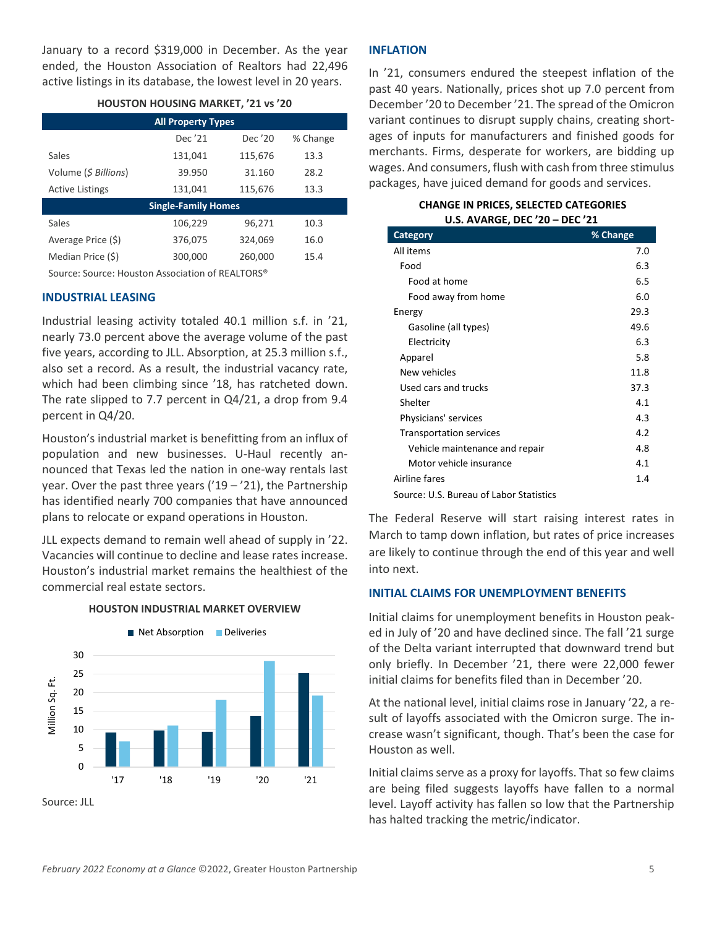January to a record \$319,000 in December. As the year ended, the Houston Association of Realtors had 22,496 active listings in its database, the lowest level in 20 years.

| <b>HOUSTON HOUSING MARKET, '21 vs '20</b> |  |  |  |  |
|-------------------------------------------|--|--|--|--|
|-------------------------------------------|--|--|--|--|

| <b>All Property Types</b>  |         |         |          |  |  |  |  |
|----------------------------|---------|---------|----------|--|--|--|--|
|                            | Dec '21 | Dec '20 | % Change |  |  |  |  |
| Sales                      | 131,041 | 115,676 | 13.3     |  |  |  |  |
| Volume (\$ Billions)       | 39.950  | 31.160  | 28.2     |  |  |  |  |
| <b>Active Listings</b>     | 131,041 | 115,676 | 13.3     |  |  |  |  |
| <b>Single-Family Homes</b> |         |         |          |  |  |  |  |
| Sales                      | 106,229 | 96,271  | 10.3     |  |  |  |  |
| Average Price (\$)         | 376,075 | 324,069 | 16.0     |  |  |  |  |
| Median Price (\$)          | 300,000 | 260,000 | 15.4     |  |  |  |  |
|                            |         |         |          |  |  |  |  |

Source: Source: Houston Association of REALTORS®

#### **INDUSTRIAL LEASING**

Industrial leasing activity totaled 40.1 million s.f. in '21, nearly 73.0 percent above the average volume of the past five years, according to JLL. Absorption, at 25.3 million s.f., also set a record. As a result, the industrial vacancy rate, which had been climbing since '18, has ratcheted down. The rate slipped to 7.7 percent in Q4/21, a drop from 9.4 percent in Q4/20.

Houston's industrial market is benefitting from an influx of population and new businesses. U-Haul recently announced that Texas led the nation in one-way rentals last year. Over the past three years  $('19 - '21)$ , the Partnership has identified nearly 700 companies that have announced plans to relocate or expand operations in Houston.

JLL expects demand to remain well ahead of supply in '22. Vacancies will continue to decline and lease rates increase. Houston's industrial market remains the healthiest of the commercial real estate sectors.



**HOUSTON INDUSTRIAL MARKET OVERVIEW**

# **INFLATION**

In '21, consumers endured the steepest inflation of the past 40 years. Nationally, prices shot up 7.0 percent from December '20 to December '21. The spread of the Omicron variant continues to disrupt supply chains, creating shortages of inputs for manufacturers and finished goods for merchants. Firms, desperate for workers, are bidding up wages. And consumers, flush with cash from three stimulus packages, have juiced demand for goods and services.

# **CHANGE IN PRICES, SELECTED CATEGORIES U.S. AVARGE, DEC '20 – DEC '21**

| <b>Category</b>                         | % Change |
|-----------------------------------------|----------|
| All items                               | 7.0      |
| Food                                    | 6.3      |
| Food at home                            | 6.5      |
| Food away from home                     | 6.0      |
| Energy                                  | 29.3     |
| Gasoline (all types)                    | 49.6     |
| Electricity                             | 6.3      |
| Apparel                                 | 5.8      |
| New vehicles                            | 11.8     |
| Used cars and trucks                    | 37.3     |
| Shelter                                 | 4.1      |
| Physicians' services                    | 4.3      |
| <b>Transportation services</b>          | 4.2      |
| Vehicle maintenance and repair          | 4.8      |
| Motor vehicle insurance                 | 4.1      |
| Airline fares                           | 1.4      |
| Source: U.S. Bureau of Labor Statistics |          |

The Federal Reserve will start raising interest rates in March to tamp down inflation, but rates of price increases are likely to continue through the end of this year and well into next.

#### **INITIAL CLAIMS FOR UNEMPLOYMENT BENEFITS**

Initial claims for unemployment benefits in Houston peaked in July of '20 and have declined since. The fall '21 surge of the Delta variant interrupted that downward trend but only briefly. In December '21, there were 22,000 fewer initial claims for benefits filed than in December '20.

At the national level, initial claims rose in January '22, a result of layoffs associated with the Omicron surge. The increase wasn't significant, though. That's been the case for Houston as well.

Initial claims serve as a proxy for layoffs. That so few claims are being filed suggests layoffs have fallen to a normal level. Layoff activity has fallen so low that the Partnership has halted tracking the metric/indicator.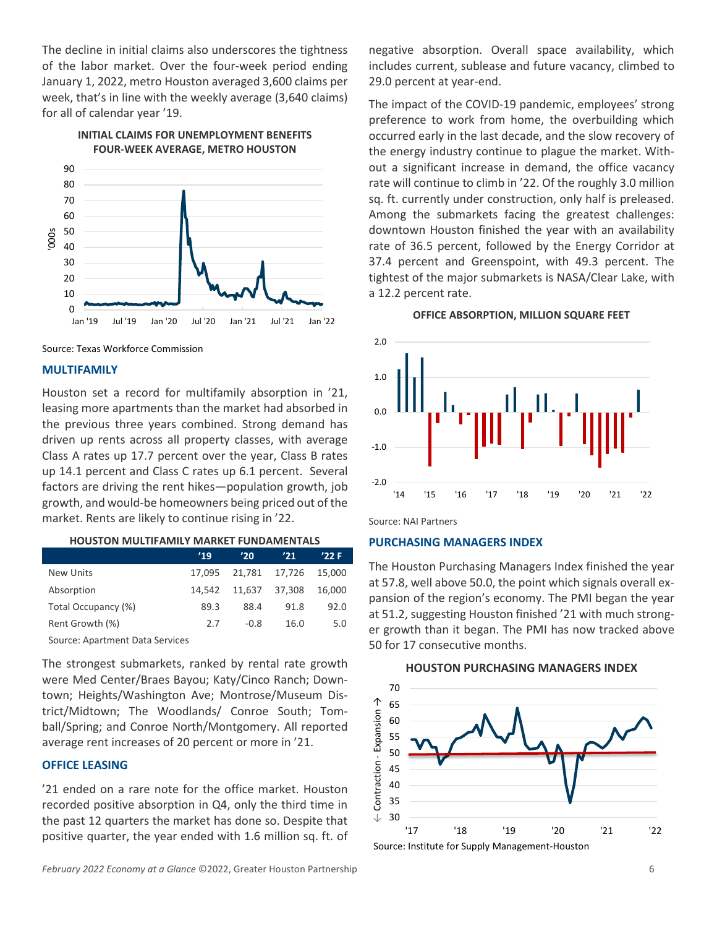The decline in initial claims also underscores the tightness of the labor market. Over the four-week period ending January 1, 2022, metro Houston averaged 3,600 claims per week, that's in line with the weekly average (3,640 claims) for all of calendar year '19.



**INITIAL CLAIMS FOR UNEMPLOYMENT BENEFITS FOUR-WEEK AVERAGE, METRO HOUSTON**

Source: Texas Workforce Commission

#### **MULTIFAMILY**

Houston set a record for multifamily absorption in '21, leasing more apartments than the market had absorbed in the previous three years combined. Strong demand has driven up rents across all property classes, with average Class A rates up 17.7 percent over the year, Class B rates up 14.1 percent and Class C rates up 6.1 percent. Several factors are driving the rent hikes—population growth, job growth, and would-be homeowners being priced out of the market. Rents are likely to continue rising in '22.

#### **HOUSTON MULTIFAMILY MARKET FUNDAMENTALS**

|                     | '19    | '20    | '21    | '22F   |
|---------------------|--------|--------|--------|--------|
| New Units           | 17.095 | 21.781 | 17,726 | 15,000 |
| Absorption          | 14.542 | 11.637 | 37,308 | 16,000 |
| Total Occupancy (%) | 89.3   | 88.4   | 91.8   | 92.0   |
| Rent Growth (%)     | 2.7    | $-0.8$ | 16.0   | 5.0    |
|                     |        |        |        |        |

Source: Apartment Data Services

The strongest submarkets, ranked by rental rate growth were Med Center/Braes Bayou; Katy/Cinco Ranch; Downtown; Heights/Washington Ave; Montrose/Museum District/Midtown; The Woodlands/ Conroe South; Tomball/Spring; and Conroe North/Montgomery. All reported average rent increases of 20 percent or more in '21.

#### **OFFICE LEASING**

'21 ended on a rare note for the office market. Houston recorded positive absorption in Q4, only the third time in the past 12 quarters the market has done so. Despite that positive quarter, the year ended with 1.6 million sq. ft. of

*February 2022 Economy at a Glance* ©2022, Greater Houston Partnership 6

negative absorption. Overall space availability, which includes current, sublease and future vacancy, climbed to 29.0 percent at year-end.

The impact of the COVID-19 pandemic, employees' strong preference to work from home, the overbuilding which occurred early in the last decade, and the slow recovery of the energy industry continue to plague the market. Without a significant increase in demand, the office vacancy rate will continue to climb in '22. Of the roughly 3.0 million sq. ft. currently under construction, only half is preleased. Among the submarkets facing the greatest challenges: downtown Houston finished the year with an availability rate of 36.5 percent, followed by the Energy Corridor at 37.4 percent and Greenspoint, with 49.3 percent. The tightest of the major submarkets is NASA/Clear Lake, with a 12.2 percent rate.

#### **OFFICE ABSORPTION, MILLION SQUARE FEET**



Source: NAI Partners

#### **PURCHASING MANAGERS INDEX**

The Houston Purchasing Managers Index finished the year at 57.8, well above 50.0, the point which signals overall expansion of the region's economy. The PMI began the year at 51.2, suggesting Houston finished '21 with much stronger growth than it began. The PMI has now tracked above 50 for 17 consecutive months.

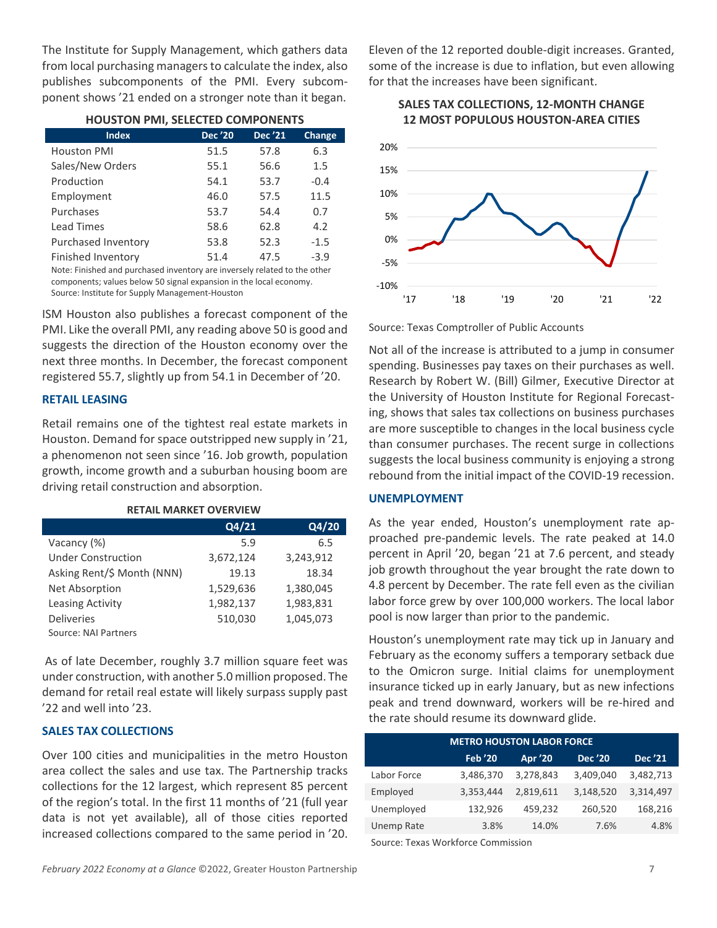The Institute for Supply Management, which gathers data from local purchasing managers to calculate the index, also publishes subcomponents of the PMI. Every subcomponent shows '21 ended on a stronger note than it began.

**HOUSTON PMI, SELECTED COMPONENTS**

| <b>Index</b>        | <b>Dec</b> '20 | <b>Dec</b> '21 | Change |  |  |
|---------------------|----------------|----------------|--------|--|--|
| <b>Houston PMI</b>  | 51.5           | 57.8           | 6.3    |  |  |
| Sales/New Orders    | 55.1           | 56.6           | 1.5    |  |  |
| Production          | 54.1           | 53.7           | $-0.4$ |  |  |
| Employment          | 46.0           | 57.5           | 11.5   |  |  |
| Purchases           | 53.7           | 54.4           | 0.7    |  |  |
| <b>Lead Times</b>   | 58.6           | 62.8           | 4.2    |  |  |
| Purchased Inventory | 53.8           | 52.3           | $-1.5$ |  |  |
| Finished Inventory  | 51.4           | 47.5           | $-3.9$ |  |  |

Note: Finished and purchased inventory are inversely related to the other

components; values below 50 signal expansion in the local economy. Source: Institute for Supply Management-Houston

ISM Houston also publishes a forecast component of the PMI. Like the overall PMI, any reading above 50 is good and suggests the direction of the Houston economy over the next three months. In December, the forecast component registered 55.7, slightly up from 54.1 in December of '20.

# **RETAIL LEASING**

Retail remains one of the tightest real estate markets in Houston. Demand for space outstripped new supply in '21, a phenomenon not seen since '16. Job growth, population growth, income growth and a suburban housing boom are driving retail construction and absorption.

#### **RETAIL MARKET OVERVIEW**

|                            | Q4/21     | Q4/20     |
|----------------------------|-----------|-----------|
| Vacancy (%)                | 5.9       | 6.5       |
| <b>Under Construction</b>  | 3,672,124 | 3,243,912 |
| Asking Rent/\$ Month (NNN) | 19.13     | 18.34     |
| Net Absorption             | 1,529,636 | 1,380,045 |
| Leasing Activity           | 1,982,137 | 1,983,831 |
| <b>Deliveries</b>          | 510,030   | 1,045,073 |
| Source: NAI Partners       |           |           |

As of late December, roughly 3.7 million square feet was under construction, with another 5.0 million proposed. The demand for retail real estate will likely surpass supply past '22 and well into '23.

# **SALES TAX COLLECTIONS**

Over 100 cities and municipalities in the metro Houston area collect the sales and use tax. The Partnership tracks collections for the 12 largest, which represent 85 percent of the region's total. In the first 11 months of '21 (full year data is not yet available), all of those cities reported increased collections compared to the same period in '20. Eleven of the 12 reported double-digit increases. Granted, some of the increase is due to inflation, but even allowing for that the increases have been significant.

# **SALES TAX COLLECTIONS, 12-MONTH CHANGE 12 MOST POPULOUS HOUSTON-AREA CITIES**



Source: Texas Comptroller of Public Accounts

Not all of the increase is attributed to a jump in consumer spending. Businesses pay taxes on their purchases as well. Research by Robert W. (Bill) Gilmer, Executive Director at the University of Houston Institute for Regional Forecasting, shows that sales tax collections on business purchases are more susceptible to changes in the local business cycle than consumer purchases. The recent surge in collections suggests the local business community is enjoying a strong rebound from the initial impact of the COVID-19 recession.

# **UNEMPLOYMENT**

As the year ended, Houston's unemployment rate approached pre-pandemic levels. The rate peaked at 14.0 percent in April '20, began '21 at 7.6 percent, and steady job growth throughout the year brought the rate down to 4.8 percent by December. The rate fell even as the civilian labor force grew by over 100,000 workers. The local labor pool is now larger than prior to the pandemic.

Houston's unemployment rate may tick up in January and February as the economy suffers a temporary setback due to the Omicron surge. Initial claims for unemployment insurance ticked up in early January, but as new infections peak and trend downward, workers will be re-hired and the rate should resume its downward glide.

| <b>METRO HOUSTON LABOR FORCE</b> |                |                |                |           |  |  |
|----------------------------------|----------------|----------------|----------------|-----------|--|--|
|                                  | <b>Feb '20</b> | <b>Apr</b> '20 | <b>Dec</b> '20 | Dec '21   |  |  |
| Labor Force                      | 3,486,370      | 3,278,843      | 3,409,040      | 3,482,713 |  |  |
| Employed                         | 3,353,444      | 2,819,611      | 3,148,520      | 3,314,497 |  |  |
| Unemployed                       | 132,926        | 459,232        | 260,520        | 168,216   |  |  |
| Unemp Rate                       | 3.8%           | 14.0%          | 7.6%           | 4.8%      |  |  |
|                                  |                |                |                |           |  |  |

Source: Texas Workforce Commission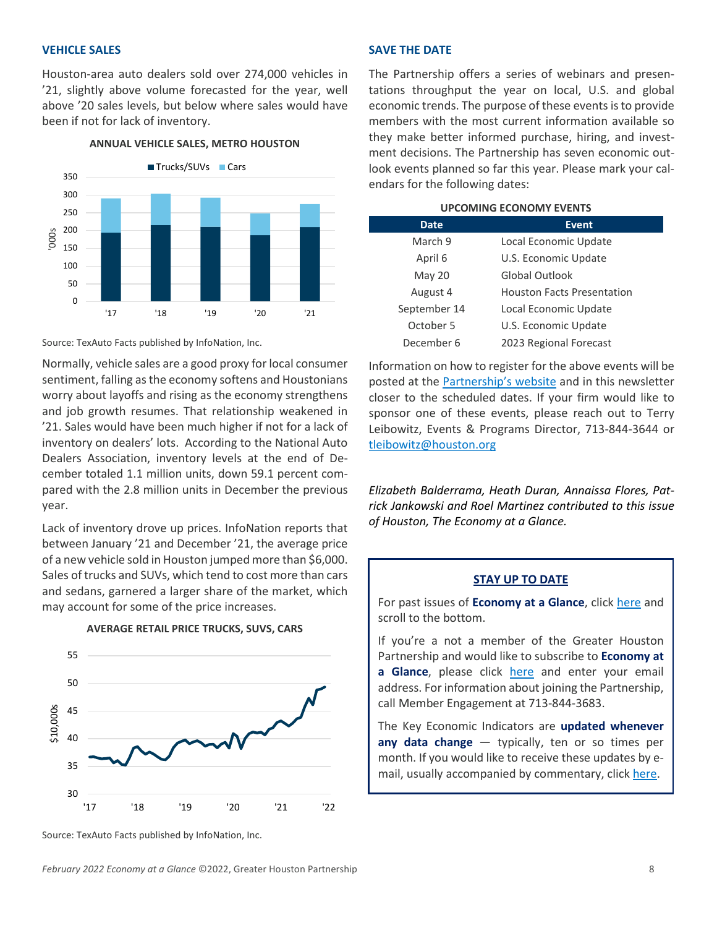#### **VEHICLE SALES**

Houston-area auto dealers sold over 274,000 vehicles in '21, slightly above volume forecasted for the year, well above '20 sales levels, but below where sales would have been if not for lack of inventory.



Source: TexAuto Facts published by InfoNation, Inc.

Normally, vehicle sales are a good proxy for local consumer sentiment, falling as the economy softens and Houstonians worry about layoffs and rising as the economy strengthens and job growth resumes. That relationship weakened in '21. Sales would have been much higher if not for a lack of inventory on dealers' lots. According to the National Auto Dealers Association, inventory levels at the end of December totaled 1.1 million units, down 59.1 percent compared with the 2.8 million units in December the previous year.

Lack of inventory drove up prices. InfoNation reports that between January '21 and December '21, the average price of a new vehicle sold in Houston jumped more than \$6,000. Sales of trucks and SUVs, which tend to cost more than cars and sedans, garnered a larger share of the market, which may account for some of the price increases.



**AVERAGE RETAIL PRICE TRUCKS, SUVS, CARS**

**ANNUAL VEHICLE SALES, METRO HOUSTON**

#### **SAVE THE DATE**

The Partnership offers a series of webinars and presentations throughput the year on local, U.S. and global economic trends. The purpose of these events is to provide members with the most current information available so they make better informed purchase, hiring, and investment decisions. The Partnership has seven economic outlook events planned so far this year. Please mark your calendars for the following dates:

# **UPCOMING ECONOMY EVENTS**

| <b>Date</b>   | <b>Event</b>                      |  |  |  |
|---------------|-----------------------------------|--|--|--|
| March 9       | Local Economic Update             |  |  |  |
| April 6       | U.S. Economic Update              |  |  |  |
| <b>May 20</b> | Global Outlook                    |  |  |  |
| August 4      | <b>Houston Facts Presentation</b> |  |  |  |
| September 14  | Local Economic Update             |  |  |  |
| October 5     | U.S. Economic Update              |  |  |  |
| December 6    | 2023 Regional Forecast            |  |  |  |

Information on how to register for the above events will be posted at the [Partnership's website](https://www.houston.org/events) and in this newsletter closer to the scheduled dates. If your firm would like to sponsor one of these events, please reach out to Terry Leibowitz, Events & Programs Director, 713-844-3644 or [tleibowitz@houston.org](mailto:tleibowitz@houston.org)

*Elizabeth Balderrama, Heath Duran, Annaissa Flores, Patrick Jankowski and Roel Martinez contributed to this issue of Houston, The Economy at a Glance.*

# **STAY UP TO DATE**

For past issues of **Economy at a Glance**, click [here](https://www.houston.org/houston-data/economy-glance-january-2022) and scroll to the bottom.

If you're a not a member of the Greater Houston Partnership and would like to subscribe to **Economy at a Glance**, please click [here](https://lp.constantcontactpages.com/su/dJBuIYJ/glance) and enter your email address. For information about joining the Partnership, call Member Engagement at 713-844-3683.

The Key Economic Indicators are **updated whenever any data change** — typically, ten or so times per month. If you would like to receive these updates by email, usually accompanied by commentary, clic[k here.](https://lp.constantcontactpages.com/su/IrPo03r/KEI)

Source: TexAuto Facts published by InfoNation, Inc.